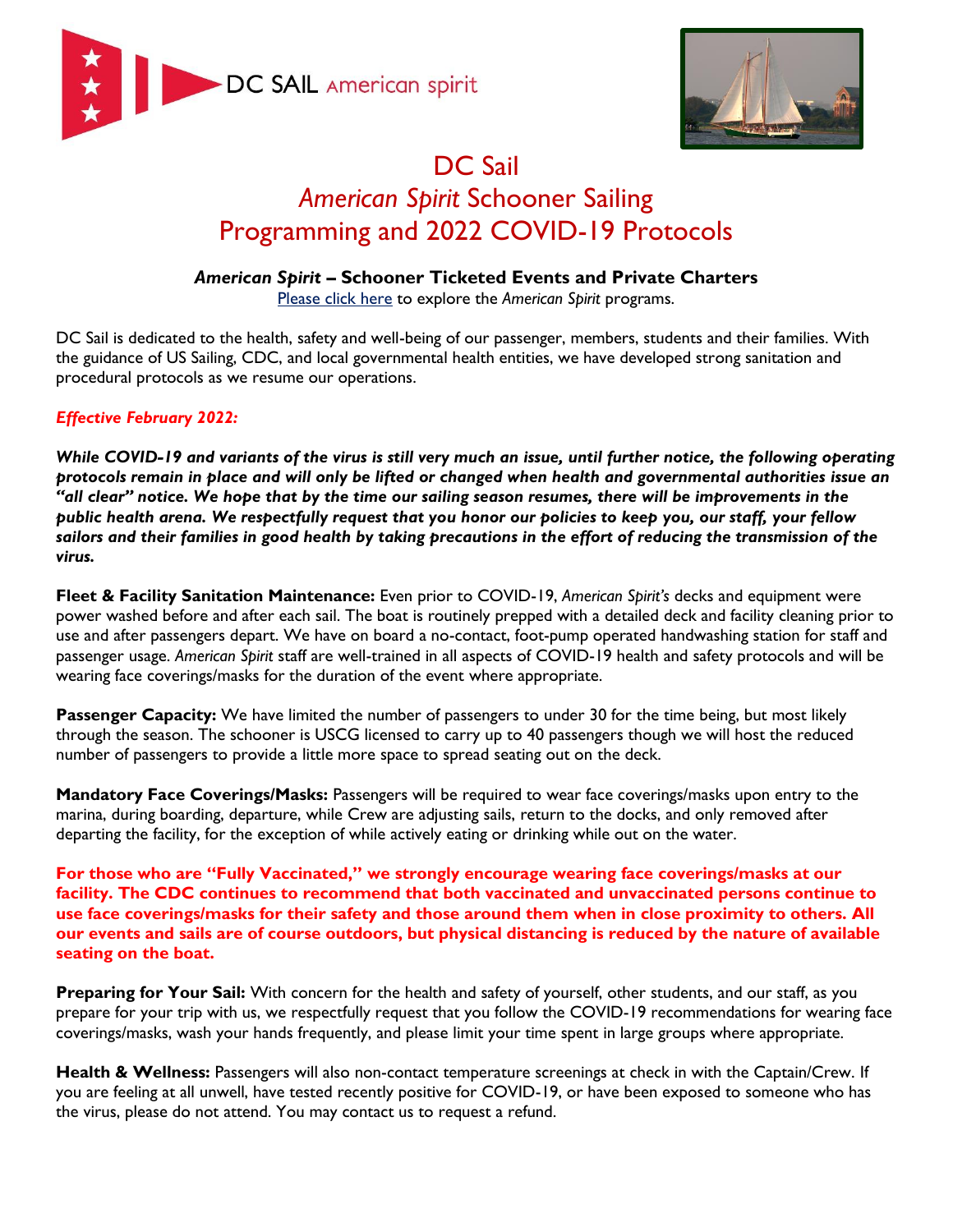



## DC Sail *American Spirit* Schooner Sailing Programming and 2022 COVID-19 Protocols

## *American Spirit* **– Schooner Ticketed Events and Private Charters**

[Please click here](https://dcsail.org/schooner) to explore the *American Spirit* programs.

DC Sail is dedicated to the health, safety and well-being of our passenger, members, students and their families. With the guidance of US Sailing, CDC, and local governmental health entities, we have developed strong sanitation and procedural protocols as we resume our operations.

## *Effective February 2022:*

*While COVID-19 and variants of the virus is still very much an issue, until further notice, the following operating protocols remain in place and will only be lifted or changed when health and governmental authorities issue an "all clear" notice. We hope that by the time our sailing season resumes, there will be improvements in the public health arena. We respectfully request that you honor our policies to keep you, our staff, your fellow sailors and their families in good health by taking precautions in the effort of reducing the transmission of the virus.* 

**Fleet & Facility Sanitation Maintenance:** Even prior to COVID-19, *American Spirit's* decks and equipment were power washed before and after each sail. The boat is routinely prepped with a detailed deck and facility cleaning prior to use and after passengers depart. We have on board a no-contact, foot-pump operated handwashing station for staff and passenger usage. *American Spirit* staff are well-trained in all aspects of COVID-19 health and safety protocols and will be wearing face coverings/masks for the duration of the event where appropriate.

**Passenger Capacity:** We have limited the number of passengers to under 30 for the time being, but most likely through the season. The schooner is USCG licensed to carry up to 40 passengers though we will host the reduced number of passengers to provide a little more space to spread seating out on the deck.

**Mandatory Face Coverings/Masks:** Passengers will be required to wear face coverings/masks upon entry to the marina, during boarding, departure, while Crew are adjusting sails, return to the docks, and only removed after departing the facility, for the exception of while actively eating or drinking while out on the water.

**For those who are "Fully Vaccinated," we strongly encourage wearing face coverings/masks at our facility. The CDC continues to recommend that both vaccinated and unvaccinated persons continue to use face coverings/masks for their safety and those around them when in close proximity to others. All our events and sails are of course outdoors, but physical distancing is reduced by the nature of available seating on the boat.** 

**Preparing for Your Sail:** With concern for the health and safety of yourself, other students, and our staff, as you prepare for your trip with us, we respectfully request that you follow the COVID-19 recommendations for wearing face coverings/masks, wash your hands frequently, and please limit your time spent in large groups where appropriate.

**Health & Wellness:** Passengers will also non-contact temperature screenings at check in with the Captain/Crew. If you are feeling at all unwell, have tested recently positive for COVID-19, or have been exposed to someone who has the virus, please do not attend. You may contact us to request a refund.